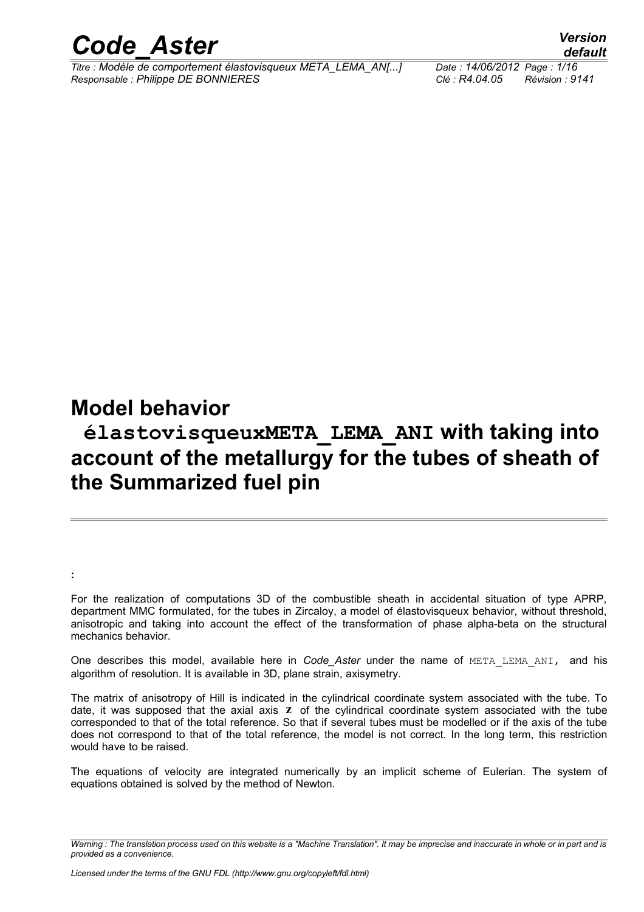

*Titre : Modèle de comportement élastovisqueux META\_LEMA\_AN[...] Date : 14/06/2012 Page : 1/16 Responsable : Philippe DE BONNIERES Clé : R4.04.05 Révision : 9141*

# **Model behavior**

**:** 

# **élastovisqueuxMETA\_LEMA\_ANI with taking into account of the metallurgy for the tubes of sheath of the Summarized fuel pin**

For the realization of computations 3D of the combustible sheath in accidental situation of type APRP, department MMC formulated, for the tubes in Zircaloy, a model of élastovisqueux behavior, without threshold, anisotropic and taking into account the effect of the transformation of phase alpha-beta on the structural mechanics behavior.

One describes this model, available here in *Code\_Aster* under the name of META\_LEMA\_ANI, and his algorithm of resolution. It is available in 3D, plane strain, axisymetry.

The matrix of anisotropy of Hill is indicated in the cylindrical coordinate system associated with the tube. To date, it was supposed that the axial axis **z** of the cylindrical coordinate system associated with the tube corresponded to that of the total reference. So that if several tubes must be modelled or if the axis of the tube does not correspond to that of the total reference, the model is not correct. In the long term, this restriction would have to be raised.

The equations of velocity are integrated numerically by an implicit scheme of Eulerian. The system of equations obtained is solved by the method of Newton.

*Warning : The translation process used on this website is a "Machine Translation". It may be imprecise and inaccurate in whole or in part and is provided as a convenience.*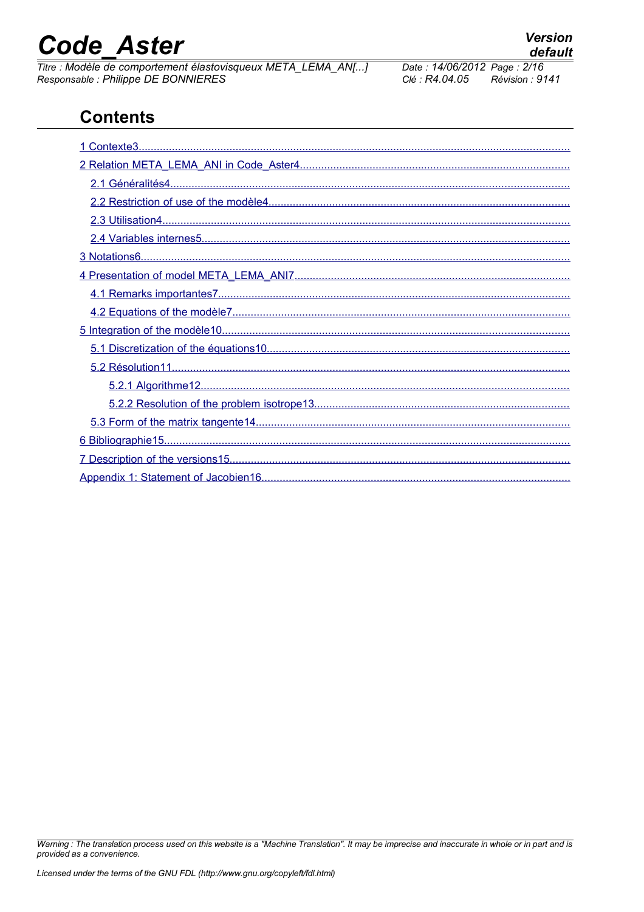# **Code Aster**

Titre : Modèle de comportement élastovisqueux META\_LEMA\_AN[...] Responsable : Philippe DE BONNIERES

#### <span id="page-1-1"></span><span id="page-1-0"></span>Date: 14/06/2012 Page: 2/16 Clé : R4.04.05 Révision : 9141

# **Contents**

Warning : The translation process used on this website is a "Machine Translation". It may be imprecise and inaccurate in whole or in part and is provided as a convenience.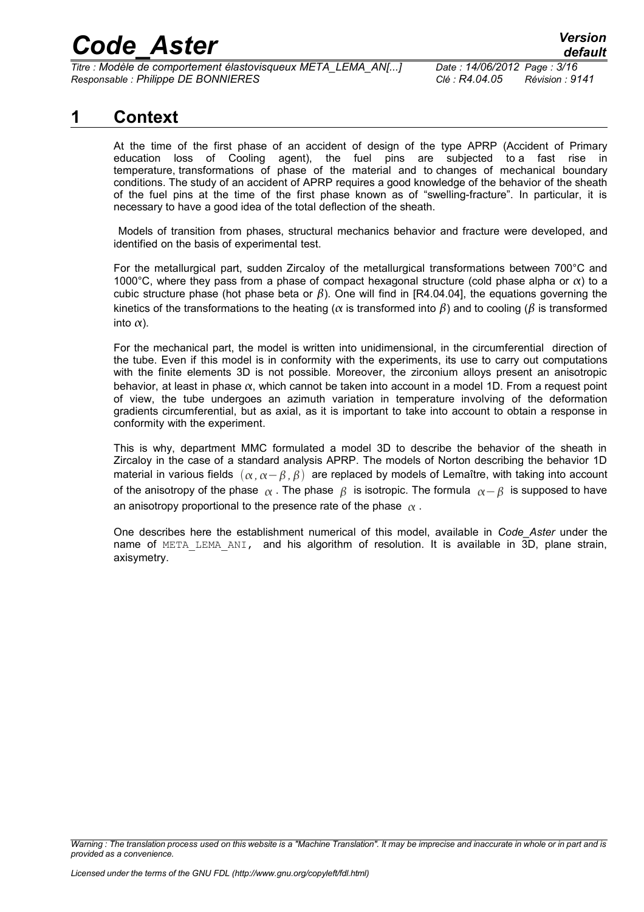*Titre : Modèle de comportement élastovisqueux META\_LEMA\_AN[...] Date : 14/06/2012 Page : 3/16 Responsable : Philippe DE BONNIERES Clé : R4.04.05 Révision : 9141*

## **1 Context**

<span id="page-2-0"></span>At the time of the first phase of an accident of design of the type APRP (Accident of Primary education loss of Cooling agent), the fuel pins are subjected to a fast rise in temperature, transformations of phase of the material and to changes of mechanical boundary conditions. The study of an accident of APRP requires a good knowledge of the behavior of the sheath of the fuel pins at the time of the first phase known as of "swelling-fracture". In particular, it is necessary to have a good idea of the total deflection of the sheath.

 Models of transition from phases, structural mechanics behavior and fracture were developed, and identified on the basis of experimental test.

For the metallurgical part, sudden Zircaloy of the metallurgical transformations between 700°C and 1000°C, where they pass from a phase of compact hexagonal structure (cold phase alpha or  $\alpha$ ) to a cubic structure phase (hot phase beta or  $\beta$ ). One will find in [R4.04.04], the equations governing the kinetics of the transformations to the heating ( $\alpha$  is transformed into  $\beta$ ) and to cooling ( $\beta$  is transformed into  $\alpha$ ).

For the mechanical part, the model is written into unidimensional, in the circumferential direction of the tube. Even if this model is in conformity with the experiments, its use to carry out computations with the finite elements 3D is not possible. Moreover, the zirconium alloys present an anisotropic behavior, at least in phase  $\alpha$ , which cannot be taken into account in a model 1D. From a request point of view, the tube undergoes an azimuth variation in temperature involving of the deformation gradients circumferential, but as axial, as it is important to take into account to obtain a response in conformity with the experiment.

This is why, department MMC formulated a model 3D to describe the behavior of the sheath in Zircaloy in the case of a standard analysis APRP. The models of Norton describing the behavior 1D material in various fields  $(α, α-β, β)$  are replaced by models of Lemaître, with taking into account of the anisotropy of the phase  $\alpha$ . The phase  $\beta$  is isotropic. The formula  $\alpha - \beta$  is supposed to have an anisotropy proportional to the presence rate of the phase  $\alpha$ .

One describes here the establishment numerical of this model, available in *Code\_Aster* under the name of META LEMA ANI, and his algorithm of resolution. It is available in 3D, plane strain, axisymetry.

*Warning : The translation process used on this website is a "Machine Translation". It may be imprecise and inaccurate in whole or in part and is provided as a convenience.*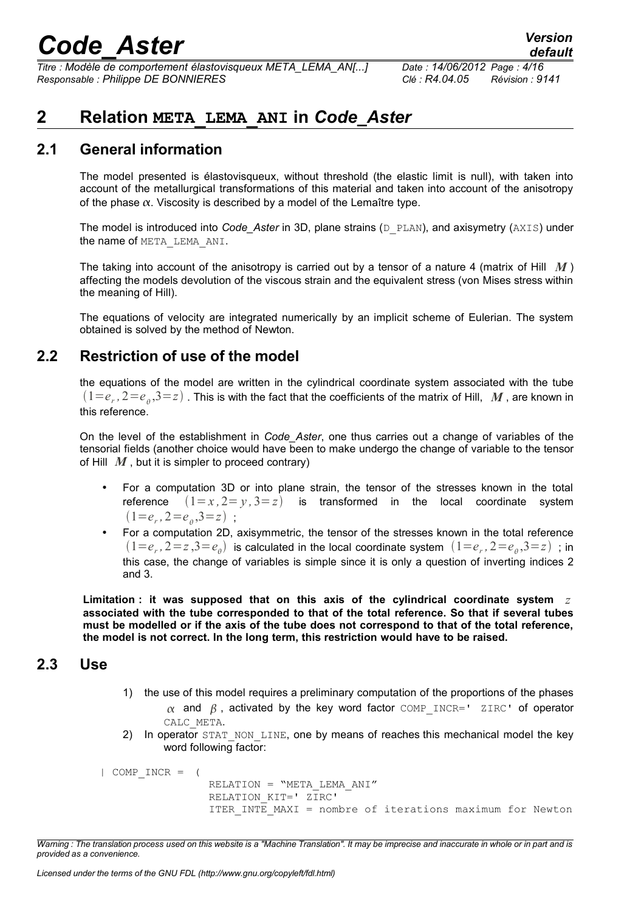*Titre : Modèle de comportement élastovisqueux META\_LEMA\_AN[...] Date : 14/06/2012 Page : 4/16 Responsable : Philippe DE BONNIERES Clé : R4.04.05 Révision : 9141*

*default*

# <span id="page-3-3"></span>**2 Relation META\_LEMA\_ANI in** *Code\_Aster*

### **2.1 General information**

<span id="page-3-2"></span>The model presented is élastovisqueux, without threshold (the elastic limit is null), with taken into account of the metallurgical transformations of this material and taken into account of the anisotropy of the phase  $\alpha$ . Viscosity is described by a model of the Lemaître type.

The model is introduced into *Code\_Aster* in 3D, plane strains (D\_PLAN), and axisymetry (AXIS) under the name of META\_LEMA\_ANI.

The taking into account of the anisotropy is carried out by a tensor of a nature 4 (matrix of Hill *M* ) affecting the models devolution of the viscous strain and the equivalent stress (von Mises stress within the meaning of Hill).

The equations of velocity are integrated numerically by an implicit scheme of Eulerian. The system obtained is solved by the method of Newton.

## **2.2 Restriction of use of the model**

<span id="page-3-1"></span>the equations of the model are written in the cylindrical coordinate system associated with the tube  $(1\!=\!e_r,2\!=\!e_{_\theta},\!3\!=\!z)$  . This is with the fact that the coefficients of the matrix of Hill,  $~$  *M* , are known in this reference.

On the level of the establishment in *Code\_Aster*, one thus carries out a change of variables of the tensorial fields (another choice would have been to make undergo the change of variable to the tensor of Hill  $M$ , but it is simpler to proceed contrary)

- For a computation 3D or into plane strain, the tensor of the stresses known in the total reference  $(1=x, 2=y, 3=z)$  is transformed in the local coordinate system  $(1=e_r, 2=e_\theta, 3=z)$ ;
- For a computation 2D, axisymmetric, the tensor of the stresses known in the total reference  $(1=e_r, 2=z, 3=e_\theta)$  is calculated in the local coordinate system  $(1=e_r, 2=e_\theta, 3=z)$  ; in this case, the change of variables is simple since it is only a question of inverting indices 2 and 3.

**Limitation : it was supposed that on this axis of the cylindrical coordinate system** *z* **associated with the tube corresponded to that of the total reference. So that if several tubes must be modelled or if the axis of the tube does not correspond to that of the total reference, the model is not correct. In the long term, this restriction would have to be raised.**

### <span id="page-3-0"></span>**2.3 Use**

- 1) the use of this model requires a preliminary computation of the proportions of the phases  $\alpha$  and  $\beta$ , activated by the key word factor COMP INCR=' ZIRC' of operator CALC\_META.
- 2) In operator STAT\_NON\_LINE, one by means of reaches this mechanical model the key word following factor:

```
| COMP_INCR = (
                 RELATION = "META_LEMA_ANI"
                 RELATION_KIT=' ZIRC'
                 ITER INTE MAXI = nombre of iterations maximum for Newton
```
*Warning : The translation process used on this website is a "Machine Translation". It may be imprecise and inaccurate in whole or in part and is provided as a convenience.*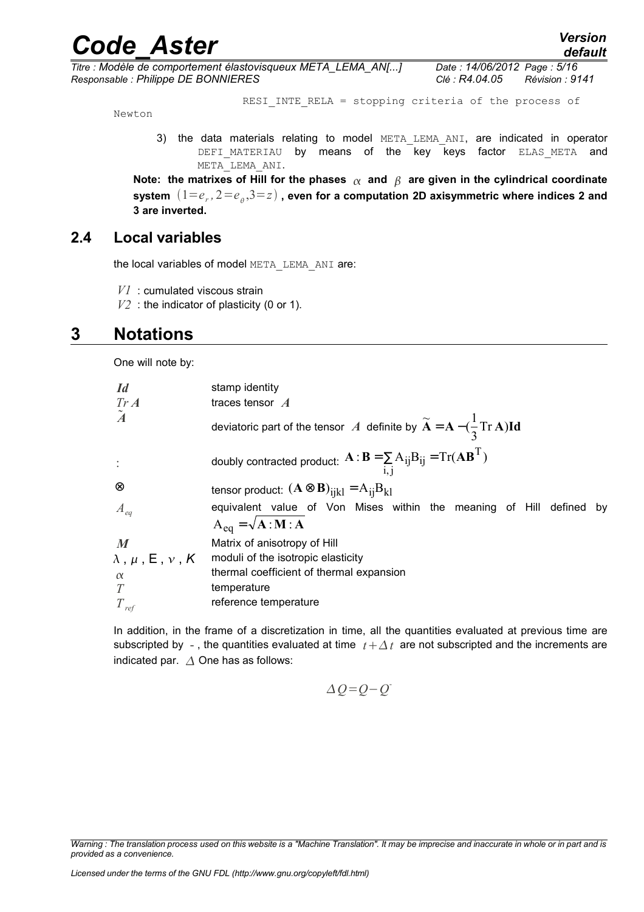*Titre : Modèle de comportement élastovisqueux META\_LEMA\_AN[...] Date : 14/06/2012 Page : 5/16 Responsable : Philippe DE BONNIERES Clé : R4.04.05 Révision : 9141*

RESI INTE RELA = stopping criteria of the process of

Newton

3) the data materials relating to model META\_LEMA\_ANI, are indicated in operator DEFI\_MATERIAU by means of the key keys factor ELAS\_META and META\_LEMA\_ANI.

Note: the matrixes of Hill for the phases  $\alpha$  and  $\beta$  are given in the cylindrical coordinate **system** 1=*e<sup>r</sup> ,* 2=*e* ,3=*z* **, even for a computation 2D axisymmetric where indices 2 and 3 are inverted.**

### **2.4 Local variables**

<span id="page-4-1"></span>the local variables of model META\_LEMA\_ANI are:

*V1* : cumulated viscous strain

<span id="page-4-0"></span>*V2* : the indicator of plasticity (0 or 1).

## **3 Notations**

One will note by:

| <i>Id</i>                             | stamp identity                                                                                                 |  |
|---------------------------------------|----------------------------------------------------------------------------------------------------------------|--|
| $Tr\,A$                               | traces tensor $\mathcal A$                                                                                     |  |
| $\tilde{A}$                           | deviatoric part of the tensor A definite by $\widetilde{A} = A - (\frac{1}{2} Tr A) Id$                        |  |
|                                       | doubly contracted product: $\mathbf{A} : \mathbf{B} = \sum_{i,j} A_{ij} B_{ij} = Tr(\mathbf{A}\mathbf{B}^{T})$ |  |
| $^{\circledR}$                        | tensor product: $(\mathbf{A} \otimes \mathbf{B})_{i k} = A_{i }B_{k }$                                         |  |
| $A_{eq}$                              | equivalent value of Von Mises within the meaning of Hill defined<br>by                                         |  |
|                                       | $A_{eq} = \sqrt{A : M : A}$                                                                                    |  |
| $\boldsymbol{M}$                      | Matrix of anisotropy of Hill                                                                                   |  |
| $\lambda$ , $\mu$ , $E$ , $\nu$ , $K$ | moduli of the isotropic elasticity                                                                             |  |
| $\alpha$                              | thermal coefficient of thermal expansion                                                                       |  |
| T                                     | temperature                                                                                                    |  |
| $T_{ref}$                             | reference temperature                                                                                          |  |

In addition, in the frame of a discretization in time, all the quantities evaluated at previous time are subscripted by -, the quantities evaluated at time  $t + \Delta t$  are not subscripted and the increments are indicated par.  $\triangle$  One has as follows:

$$
\Delta Q = Q - Q^2
$$

*Warning : The translation process used on this website is a "Machine Translation". It may be imprecise and inaccurate in whole or in part and is provided as a convenience.*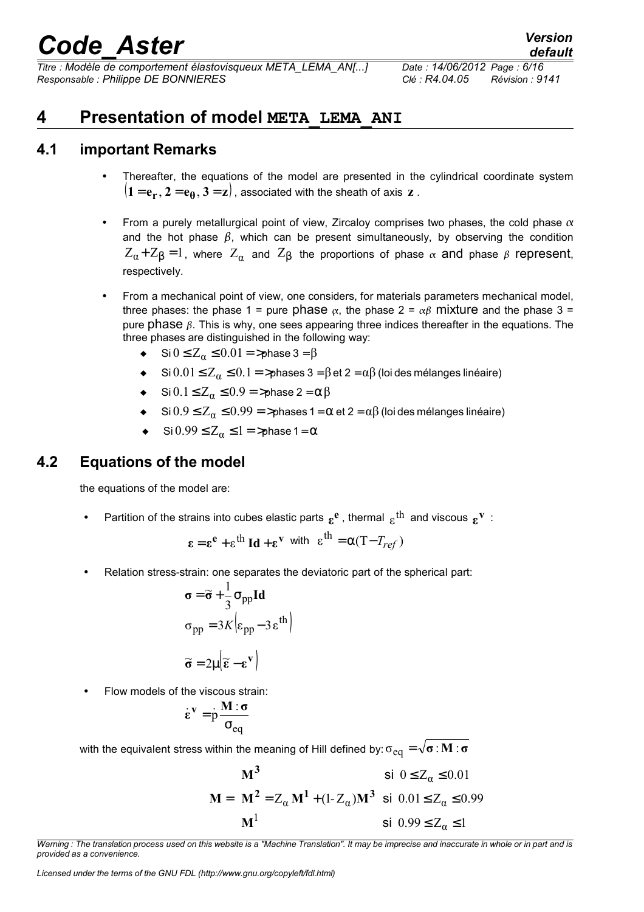*Titre : Modèle de comportement élastovisqueux META\_LEMA\_AN[...] Date : 14/06/2012 Page : 6/16 Responsable : Philippe DE BONNIERES Clé : R4.04.05 Révision : 9141*

## <span id="page-5-2"></span>**4 Presentation of model META\_LEMA\_ANI**

## **4.1 important Remarks**

- <span id="page-5-1"></span>Thereafter, the equations of the model are presented in the cylindrical coordinate system  $({\bf 1}\!=\!{\bf e}_{{\bf r}}, {\bf 2}\!=\!{\bf e}_{\boldsymbol{\theta}}, {\bf 3}\!=\!{\bf z})$  , associated with the sheath of axis  ${\bf z}$  .
- From a purely metallurgical point of view, Zircaloy comprises two phases, the cold phase  $\alpha$ and the hot phase  $\beta$ , which can be present simultaneously, by observing the condition  $Z_{\alpha}$ + $Z_{\beta}$  = 1, where  $Z_{\alpha}$  and  $Z_{\beta}$  the proportions of phase  $\alpha$  and phase  $\beta$  represent, respectively.
- From a mechanical point of view, one considers, for materials parameters mechanical model, three phases: the phase 1 = pure phase  $\alpha$ , the phase 2 =  $\alpha\beta$  mixture and the phase 3 = pure phase  $\beta$ . This is why, one sees appearing three indices thereafter in the equations. The three phases are distinguished in the following way:
	- Si  $0 \le Z_\alpha \le 0.01 = \text{b}$  > phase 3 =  $\beta$
	- Si  $0.01 \le Z_\alpha \le 0.1 = \frac{1}{2}$  phases 3 =  $\beta$  et 2 =  $\alpha\beta$  (loides mélanges linéaire)
	- $\bullet$  Si  $0.1 \leq Z_\alpha \leq 0.9 = \text{phase } 2 = \alpha \beta$
	- $\sin 0.9 \le Z_\alpha \le 0.99 = \pi$  ases 1 =  $\alpha$  et 2 =  $\alpha\beta$  (loides mélanges linéaire)
	- $\bullet$  Si  $0.99 \le Z_\alpha \le 1 = \text{ }$  > phase 1 =  $\alpha$

## **4.2 Equations of the model**

<span id="page-5-0"></span>the equations of the model are:

• Partition of the strains into cubes elastic parts  $\epsilon^e$ , thermal  $\epsilon^{\text{th}}$  and viscous  $\epsilon^{\text{v}}$ :

$$
\varepsilon = \varepsilon^e + \varepsilon^{th} \operatorname{Id} + \varepsilon^v \text{ with } \varepsilon^{th} = \alpha (T - T_{ref})
$$

Relation stress-strain: one separates the deviatoric part of the spherical part:

$$
\sigma = \widetilde{\sigma} + \frac{1}{3}\sigma_{pp} \mathbf{Id}
$$

$$
\sigma_{pp} = 3K \Big| \varepsilon_{pp} - 3\varepsilon^{th} \Big|
$$

$$
\widetilde{\sigma} = 2\mu \Big| \widetilde{\varepsilon} - \varepsilon^{v} \Big|
$$

• Flow models of the viscous strain:

$$
\dot{\epsilon}^v = \dot{p} \frac{M \cdot \sigma}{\sigma_{eq}}
$$

with the equivalent stress within the meaning of Hill defined by:  $\sigma_{eq} = \sqrt{\sigma}$ : **M** : **σ** 

$$
\mathbf{M} = \begin{cases} \mathbf{M}^3 & \text{si } 0 \le Z_{\alpha} \le 0.01 \\ \mathbf{M}^2 = Z_{\alpha} \mathbf{M}^1 + (1 - Z_{\alpha}) \mathbf{M}^3 & \text{si } 0.01 \le Z_{\alpha} \le 0.99 \\ \mathbf{M}^1 & \text{si } 0.99 \le Z_{\alpha} \le 1 \end{cases}
$$

*Warning : The translation process used on this website is a "Machine Translation". It may be imprecise and inaccurate in whole or in part and is provided as a convenience.*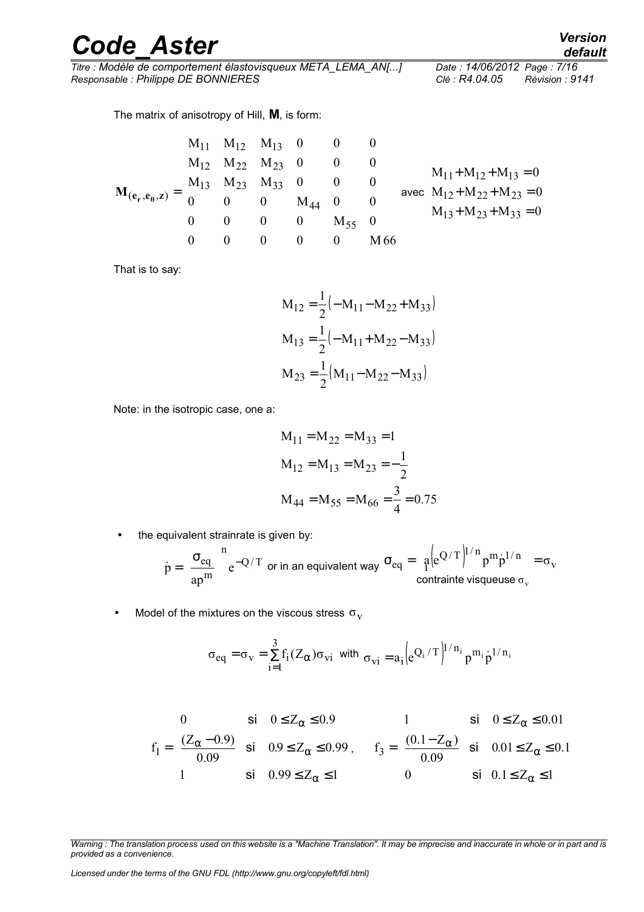*Titre : Modèle de comportement élastovisqueux META\_LEMA\_AN[...] Date : 14/06/2012 Page : 7/16 Responsable : Philippe DE BONNIERES Clé : R4.04.05 Révision : 9141*

The matrix of anisotropy of Hill, **M**, is form:

$$
\mathbf{M}_{(e_r, e_\theta, z)} = \begin{bmatrix} M_{11} & M_{12} & M_{13} & 0 & 0 & 0 \\ M_{12} & M_{22} & M_{23} & 0 & 0 & 0 \\ M_{13} & M_{23} & M_{33} & 0 & 0 & 0 \\ 0 & 0 & 0 & M_{44} & 0 & 0 \\ 0 & 0 & 0 & 0 & M_{55} & 0 \\ 0 & 0 & 0 & 0 & 0 & M_{66} \end{bmatrix} \text{avec} \begin{bmatrix} M_{11} + M_{12} + M_{13} = 0 \\ M_{12} + M_{22} + M_{23} = 0 \\ M_{13} + M_{23} + M_{33} = 0 \\ M_{13} + M_{23} + M_{33} = 0 \end{bmatrix}
$$

That is to say:

$$
M_{12} = \frac{1}{2} (-M_{11} - M_{22} + M_{33})
$$
  
\n
$$
M_{13} = \frac{1}{2} (-M_{11} + M_{22} - M_{33})
$$
  
\n
$$
M_{23} = \frac{1}{2} (M_{11} - M_{22} - M_{33})
$$

Note: in the isotropic case, one a:

$$
M_{11} = M_{22} = M_{33} = 1
$$
  
\n
$$
M_{12} = M_{13} = M_{23} = -\frac{1}{2}
$$
  
\n
$$
M_{44} = M_{55} = M_{66} = \frac{3}{4} = 0.75
$$

• the equivalent strainrate is given by:

$$
\dot{p} = \left(\frac{\sigma_{eq}}{ap^{m}}\right)^{\!n} e^{-Q/T} \text{ or in an equivalent way } \sigma_{eq} = \frac{a}{r} \Big| e^{Q/T} \Big|^{1/n} p^m \dot{p}^{1/n} = \sigma_v
$$

• Model of the mixtures on the viscous stress  $\sigma_{\rm v}$ 

$$
\sigma_{eq}=\sigma_v=\sum_{i=1}^3f_i(Z_\alpha)\sigma_{vi}\ \ \text{with}\ \ \sigma_{vi}=a_i\Big(e^{Q_i\ /\ T}\Big)^{1/n_i}\,p^{m_i}\dot{p}^{1/\,n_i}
$$

$$
f_1 = \begin{cases} 0 & \text{si} \quad 0 \le Z_\alpha \le 0.9 \\ \frac{(Z_\alpha - 0.9)}{0.09} & \text{si} \quad 0.9 \le Z_\alpha \le 0.99 \\ 1 & \text{si} \quad 0.99 \le Z_\alpha \le 1 \end{cases}, \qquad f_3 = \begin{cases} 1 & \text{si} \quad 0 \le Z_\alpha \le 0.01 \\ \frac{(0.1 - Z_\alpha)}{0.09} & \text{si} \quad 0.01 \le Z_\alpha \le 0.1 \\ 0 & \text{si} \quad 0.1 \le Z_\alpha \le 1 \end{cases}
$$

*Licensed under the terms of the GNU FDL (http://www.gnu.org/copyleft/fdl.html)*

*default*

*Warning : The translation process used on this website is a "Machine Translation". It may be imprecise and inaccurate in whole or in part and is provided as a convenience.*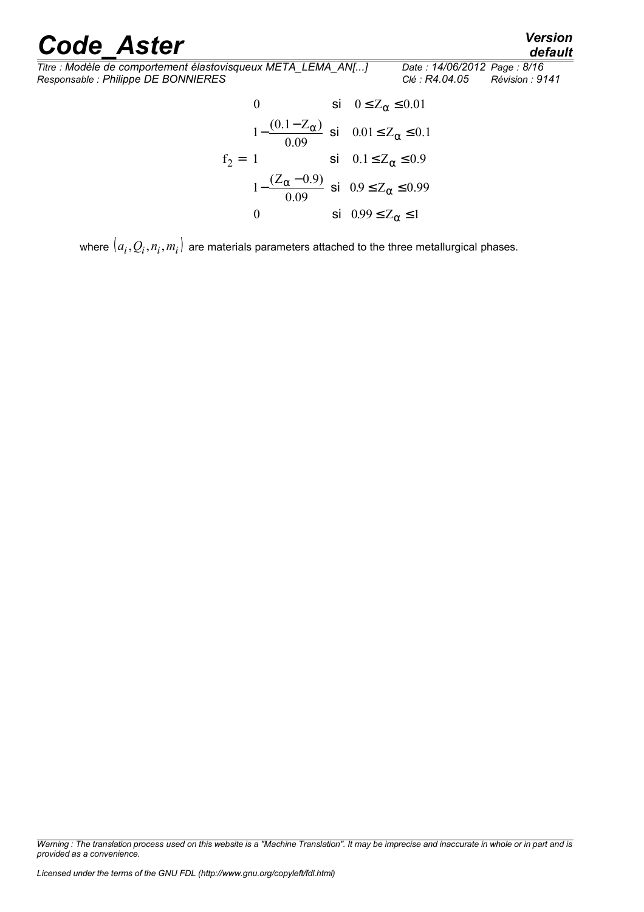*default*

*Code\_Aster Version Titre : Modèle de comportement élastovisqueux META\_LEMA\_AN[...] Date : 14/06/2012 Page : 8/16 Responsable : Philippe DE BONNIERES Clé : R4.04.05 Révision : 9141*

$$
f_2 = \begin{cases} 0 & \text{si} & 0 \le Z_{\alpha} \le 0.01 \\ 1 - \frac{(0.1 - Z_{\alpha})}{0.09} & \text{si} & 0.01 \le Z_{\alpha} \le 0.1 \\ 1 & \text{si} & 0.1 \le Z_{\alpha} \le 0.9 \\ 1 - \frac{(Z_{\alpha} - 0.9)}{0.09} & \text{si} & 0.9 \le Z_{\alpha} \le 0.99 \\ 0 & \text{si} & 0.99 \le Z_{\alpha} \le 1 \end{cases}
$$

where  $(a_i, Q_i, n_i, m_i)$  are materials parameters attached to the three metallurgical phases.

*Warning : The translation process used on this website is a "Machine Translation". It may be imprecise and inaccurate in whole or in part and is provided as a convenience.*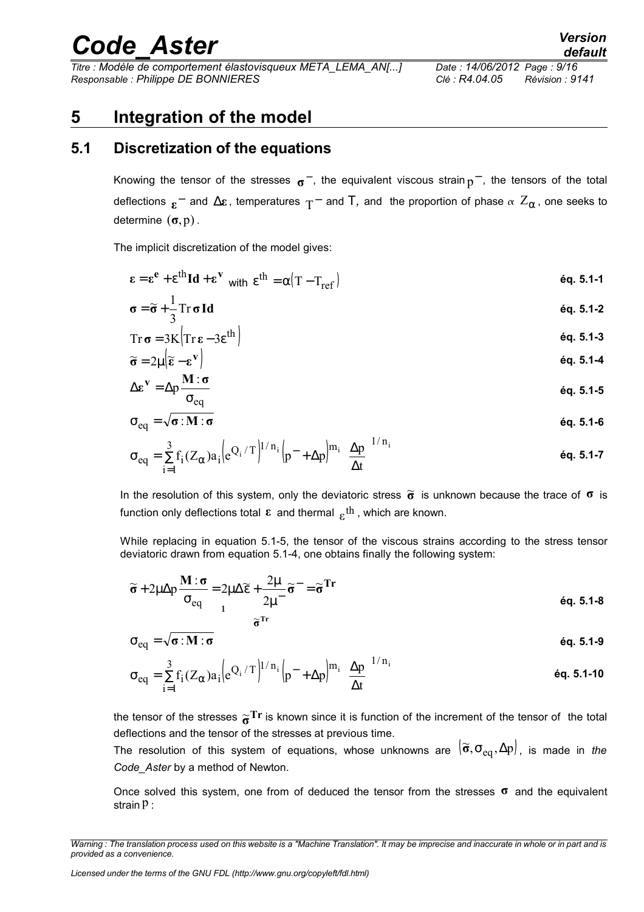*Titre : Modèle de comportement élastovisqueux META\_LEMA\_AN[...] Date : 14/06/2012 Page : 9/16 Responsable : Philippe DE BONNIERES Clé : R4.04.05 Révision : 9141*

## <span id="page-8-1"></span>**5 Integration of the model**

## **5.1 Discretization of the equations**

<span id="page-8-0"></span>Knowing the tensor of the stresses <sub>σ</sub>−, the equivalent viscous strain <sub>p</sub>−, the tensors of the total deflections  $_{\bm{\epsilon}}^-$  and  $\Delta{\bm{\epsilon}}$  , temperatures  $_{\rm T}^-$  and  $\rm T$ *,* and the proportion of phase  $_{\alpha}$   $Z_{\alpha}$  , one seeks to determine (**σ**,p) .

The implicit discretization of the model gives:

$$
\boldsymbol{\epsilon} = \boldsymbol{\epsilon}^{\mathbf{e}} + \boldsymbol{\epsilon}^{\mathbf{th}} \mathbf{Id} + \boldsymbol{\epsilon}^{\mathbf{v}} \quad \text{with} \quad \boldsymbol{\epsilon}^{\mathbf{th}} = \alpha (T - T_{\text{ref}}) \tag{6q. 5.1-1}
$$

$$
\sigma = \widetilde{\sigma} + \frac{1}{3} \operatorname{Tr} \sigma \operatorname{Id} \tag{6q. 5.1-2}
$$

$$
Tr \sigma = 3K (Tr \epsilon - 3\epsilon^{th})
$$
  
\n
$$
\widetilde{\sigma} = 2u (\widetilde{\epsilon} - \epsilon^{V})
$$
  
\n
$$
\epsilon q. 5.1-4
$$
  
\n
$$
\epsilon q. 5.1-4
$$

$$
\widetilde{\sigma} = 2\mu \left( \widetilde{\epsilon} - \epsilon^{\mathbf{V}} \right) \tag{6q. 5.1-4}
$$
\n
$$
\Delta \epsilon^{\mathbf{V}} = \Delta p \frac{\mathbf{M} : \sigma}{\sigma_{\text{eq}}}
$$

$$
\boldsymbol{\sigma}_{eq} = \sqrt{\boldsymbol{\sigma}:\boldsymbol{M}:\boldsymbol{\sigma}}
$$
éq. 5.1-6

$$
\sigma_{eq} = \sum_{i=1}^{3} f_i (Z_{\alpha}) a_i \Big| e^{Q_i / T} \Big|^{1/n_i} \Big| p^- + \Delta p \Big|^{m_i} \Big( \frac{\Delta p}{\Delta t} \Big)^{1/n_i}
$$

ln the resolution of this system, only the deviatoric stress  $\tilde{\sigma}$  is unknown because the trace of **σ** is function only deflections total  $\bm{\epsilon}$  and thermal  $\frac{}{\bm{\epsilon}}$ <sup>th</sup> , which are known.

While replacing in equation 5.1-5, the tensor of the viscous strains according to the stress tensor deviatoric drawn from equation 5.1-4, one obtains finally the following system:

$$
\widetilde{\sigma} + 2\mu \Delta p \frac{\mathbf{M} : \sigma}{\sigma_{eq}} = 2\mu \Delta \widetilde{\epsilon} + \frac{2\mu}{2\mu^{-}} \widetilde{\sigma}^{-} = \widetilde{\sigma}^{\mathrm{Tr}}
$$
\n
$$
\widetilde{\sigma}^{\mathrm{Tr}}
$$
\n
$$
\widetilde{\sigma}^{\mathrm{Tr}}
$$
\n
$$
\widetilde{\sigma}^{\mathrm{Tr}}
$$

$$
\sigma_{\text{eq}} = \sqrt{\sigma} : \mathbf{M} : \mathbf{\sigma}
$$

$$
\sigma_{eq} = \sum_{i=1}^{3} f_i (Z_{\alpha}) a_i \Big| e^{Q_i / T} \Big|^{1/n_i} \Big| p^{-} + \Delta p \Big|^{m_i} \Big( \frac{\Delta p}{\Delta t} \Big)^{1/n_i}
$$
 6q. 5.1-10

the tensor of the stresses  $\widetilde{\sigma}^{\rm Tr}$  is known since it is function of the increment of the tensor of the total deflections and the tensor of the stresses at previous time.

The resolution of this system of equations, whose unknowns are  $(\tilde{\sigma}, \sigma_{eq}, \Delta p)$ , is made in *the Code\_Aster* by a method of Newton.

Once solved this system, one from of deduced the tensor from the stresses **σ** and the equivalent strain  $p$  :

*Warning : The translation process used on this website is a "Machine Translation". It may be imprecise and inaccurate in whole or in part and is provided as a convenience.*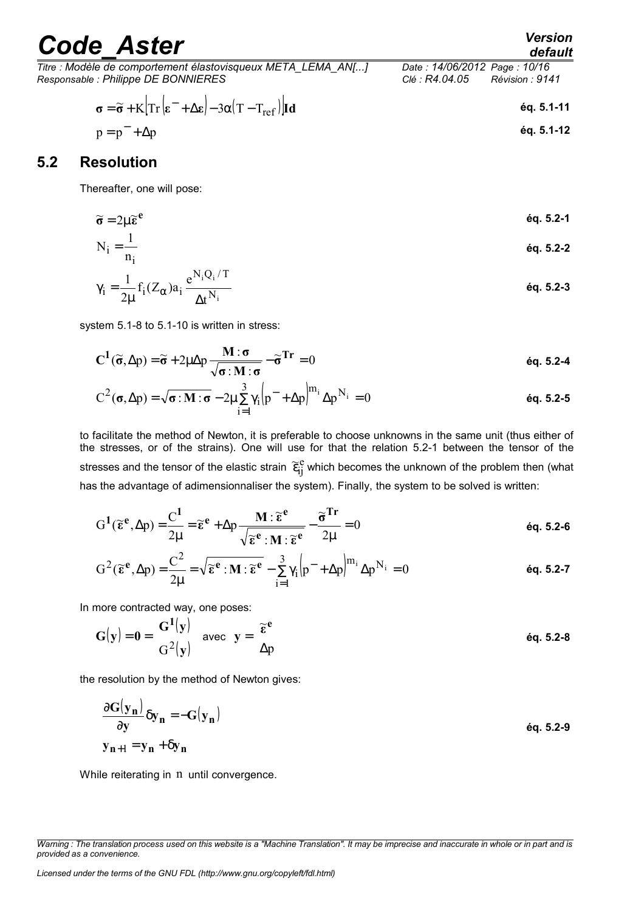| <b>Code Aster</b>                                                                                                                         | <b>Version</b><br>default                                         |
|-------------------------------------------------------------------------------------------------------------------------------------------|-------------------------------------------------------------------|
| Titre : Modèle de comportement élastovisqueux META LEMA AN[]<br>Responsable : Philippe DE BONNIERES                                       | Date: 14/06/2012 Page: 10/16<br>Révision : 9141<br>Clé : R4.04.05 |
| $\sigma = \widetilde{\sigma} + K \left  Tr \left( \varepsilon^- + \Delta \varepsilon \right) - 3\alpha (T - T_{ref}) \right  \mathbf{Id}$ | éq. 5.1-11                                                        |
| $p = p^{-} + \Delta p$                                                                                                                    | éq. 5.1-12                                                        |
| 5.2<br><b>Resolution</b>                                                                                                                  |                                                                   |

<span id="page-9-0"></span>Thereafter, one will pose:

$$
\widetilde{\sigma} = 2\mu \widetilde{\epsilon}^e
$$

$$
N_i = \frac{1}{n_i}
$$

$$
\gamma_i = \frac{1}{2\mu} f_i(Z_{\alpha}) a_i \frac{e^{N_i Q_i/T}}{\Delta t^{N_i}}
$$
éq. 5.2-3

system 5.1-8 to 5.1-10 is written in stress:

$$
C^{1}(\widetilde{\sigma}, \Delta p) = \widetilde{\sigma} + 2\mu \Delta p \frac{M : \sigma}{\sqrt{\sigma : M : \sigma}} - \widetilde{\sigma}^{Tr} = 0
$$

$$
C^{2}(\sigma, \Delta p) = \sqrt{\sigma : M : \sigma} - 2\mu \sum_{i=1}^{3} \gamma_{i} \Big| p^{-} + \Delta p \Big|^{m_{i}} \Delta p^{N_{i}} = 0
$$

to facilitate the method of Newton, it is preferable to choose unknowns in the same unit (thus either of the stresses, or of the strains). One will use for that the relation 5.2-1 between the tensor of the stresses and the tensor of the elastic strain  $\,\widetilde{\epsilon}_{\rm ij}^{\,\rm e}$  which becomes the unknown of the problem then (what has the advantage of adimensionnaliser the system). Finally, the system to be solved is written:

$$
G^{1}(\widetilde{\epsilon}^{e}, \Delta p) = \frac{C^{1}}{2\mu} = \widetilde{\epsilon}^{e} + \Delta p \frac{M : \widetilde{\epsilon}^{e}}{\sqrt{\widetilde{\epsilon}^{e} : M : \widetilde{\epsilon}^{e}}} - \frac{\widetilde{\sigma}^{Tr}}{2\mu} = 0
$$
éq. 5.2-6

$$
G^{2}(\widetilde{\epsilon}^{e}, \Delta p) = \frac{C^{2}}{2\mu} = \sqrt{\widetilde{\epsilon}^{e} : M : \widetilde{\epsilon}^{e}} - \sum_{i=1}^{3} \gamma_{i} \left( p^{-} + \Delta p \right)^{m_{i}} \Delta p^{N_{i}} = 0
$$

In more contracted way, one poses:

$$
G(\mathbf{y}) = \mathbf{0} = \begin{bmatrix} G^1(\mathbf{y}) \\ G^2(\mathbf{y}) \end{bmatrix} \text{ avec } \mathbf{y} = \begin{bmatrix} \widetilde{\epsilon}^e \\ \Delta p \end{bmatrix}
$$
 éq. 5.2-8

the resolution by the method of Newton gives:

$$
\begin{cases}\n\frac{\partial \mathbf{G}(\mathbf{y}_n)}{\partial \mathbf{y}} \delta \mathbf{y}_n = -\mathbf{G}(\mathbf{y}_n) \\
\mathbf{y}_{n+1} = \mathbf{y}_n + \delta \mathbf{y}_n\n\end{cases}
$$

While reiterating in n until convergence.

*Warning : The translation process used on this website is a "Machine Translation". It may be imprecise and inaccurate in whole or in part and is provided as a convenience.*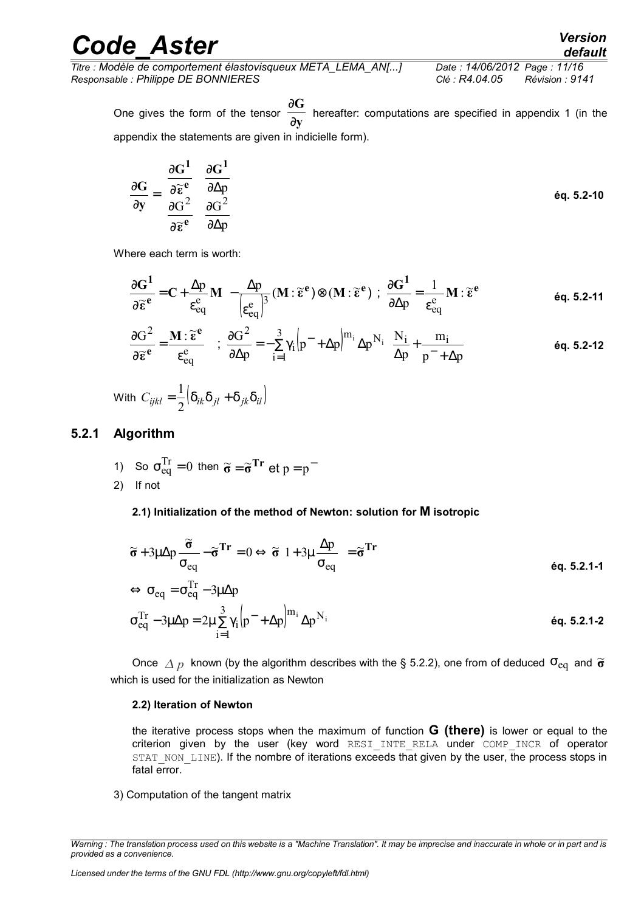*Titre : Modèle de comportement élastovisqueux META\_LEMA\_AN[...] Date : 14/06/2012 Page : 11/16 Responsable : Philippe DE BONNIERES Clé : R4.04.05 Révision : 9141*

One gives the form of the tensor  $\frac{1}{\partial y}$ **G** ∂  $\frac{\partial \mathbf{G}}{\partial \mathbf{G}}$  hereafter: computations are specified in appendix 1 (in the appendix the statements are given in indicielle form).

$$
\frac{\partial \mathbf{G}}{\partial \mathbf{y}} = \begin{bmatrix} \frac{\partial \mathbf{G}^1}{\partial \widetilde{\epsilon}^e} & \frac{\partial \mathbf{G}^1}{\partial \Delta p} \\ \frac{\partial \mathbf{G}^2}{\partial \widetilde{\epsilon}^e} & \frac{\partial \mathbf{G}^2}{\partial \Delta p} \end{bmatrix}
$$

Where each term is worth:

$$
\frac{\partial \mathbf{G}^1}{\partial \widetilde{\boldsymbol{\epsilon}}^e} = \mathbf{C} + \frac{\Delta p}{\epsilon_{eq}^e} \mathbf{M} - \frac{\Delta p}{\left(\epsilon_{eq}^e\right)^3} (\mathbf{M} : \widetilde{\boldsymbol{\epsilon}}^e) \otimes (\mathbf{M} : \widetilde{\boldsymbol{\epsilon}}^e) ; \ \frac{\partial \mathbf{G}^1}{\partial \Delta p} = \frac{1}{\epsilon_{eq}^e} \mathbf{M} : \widetilde{\boldsymbol{\epsilon}}^e \qquad \text{Eq. 5.2-11}
$$

$$
\frac{\partial G^2}{\partial \widetilde{\epsilon}^e} = \frac{\mathbf{M} : \widetilde{\epsilon}^e}{\epsilon_{eq}^e} \quad ; \quad \frac{\partial G^2}{\partial \Delta p} = -\sum_{i=1}^3 \gamma_i \Big( p^- + \Delta p \Big)^{m_i} \Delta p^{N_i} \Bigg( \frac{N_i}{\Delta p} + \frac{m_i}{p^- + \Delta p} \Bigg) \tag{6q. 5.2-12}
$$

With  $C_{ijkl} = \frac{1}{2} \left[ \delta_{ik} \delta_{jl} + \delta_{jk} \delta_{il} \right]$ 1

#### **5.2.1 Algorithm**

<span id="page-10-0"></span>1) So  $\sigma_{eq}^{Tr} = 0$  then  $\tilde{\sigma} = \tilde{\sigma}^{Tr}$  et  $p = p^{-1}$ 2) If not

#### **2.1) Initialization of the method of Newton: solution for M isotropic**

$$
\widetilde{\sigma} + 3\mu \Delta p \frac{\widetilde{\sigma}}{\sigma_{eq}} - \widetilde{\sigma}^{Tr} = 0 \Leftrightarrow \widetilde{\sigma} \left( 1 + 3\mu \frac{\Delta p}{\sigma_{eq}} \right) = \widetilde{\sigma}^{Tr}
$$
\n
$$
\Leftrightarrow \sigma_{eq} = \sigma_{eq}^{Tr} - 3\mu \Delta p
$$
\n
$$
\Theta = \sigma_{eq}^{Tr} - 3\mu \Delta p
$$
\n6q. 5.2.1-1

$$
\Leftrightarrow \sigma_{eq} = \sigma_{eq}^{1r} - 3\mu \Delta p
$$
  
\n
$$
\sigma_{eq}^{Tr} - 3\mu \Delta p = 2\mu \sum_{i=1}^{3} \gamma_i \left( p^- + \Delta p \right)^{m_i} \Delta p^{N_i}
$$

Once  $\Delta p$  known (by the algorithm describes with the § [5.2.2\)](#page-11-0), one from of deduced  $\sigma_{\text{eq}}$  and  $\widetilde{\sigma}$ which is used for the initialization as Newton

#### **2.2) Iteration of Newton**

the iterative process stops when the maximum of function **G (there)** is lower or equal to the criterion given by the user (key word RESI\_INTE\_RELA under COMP\_INCR of operator STAT\_NON\_LINE). If the nombre of iterations exceeds that given by the user, the process stops in fatal error.

3) Computation of the tangent matrix

*Warning : The translation process used on this website is a "Machine Translation". It may be imprecise and inaccurate in whole or in part and is provided as a convenience.*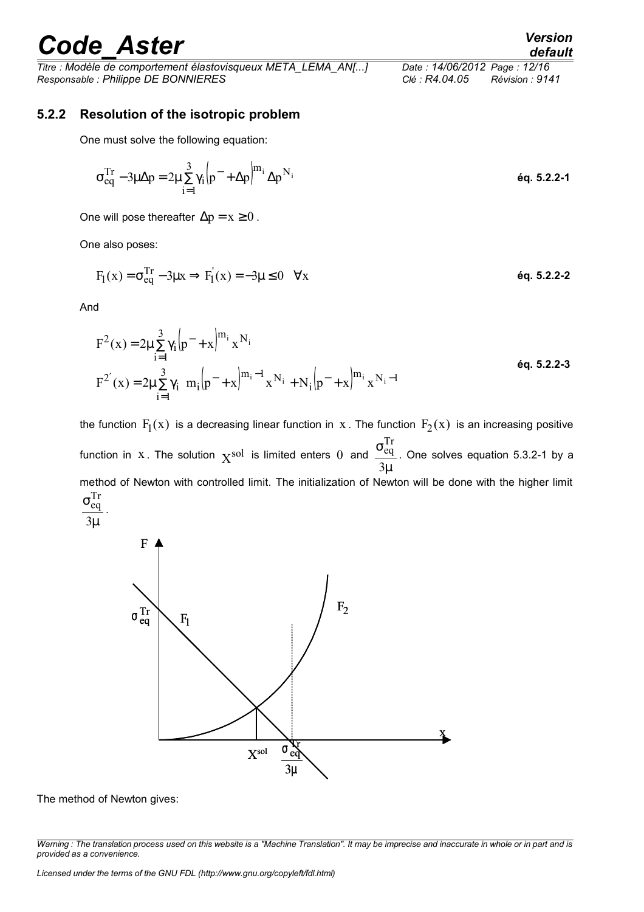*Titre : Modèle de comportement élastovisqueux META\_LEMA\_AN[...] Date : 14/06/2012 Page : 12/16 Responsable : Philippe DE BONNIERES Clé : R4.04.05 Révision : 9141*

### **5.2.2 Resolution of the isotropic problem**

<span id="page-11-0"></span>One must solve the following equation:

$$
\sigma_{eq}^{Tr} - 3\mu \Delta p = 2\mu \sum_{i=1}^{3} \gamma_i \Big| p^- + \Delta p \Big|^{m_i} \Delta p^{N_i}
$$

One will pose thereafter  $\Delta p = x \ge 0$ .

One also poses:

$$
F_1(x) = \sigma_{eq}^{Tr} - 3\mu x \Rightarrow F_1(x) = -3\mu \le 0 \quad \forall x
$$

And

$$
F^{2}(x) = 2\mu \sum_{i=1}^{3} \gamma_{i} \left[ p^{-} + x \right]^{m_{i}} x^{N_{i}}
$$
  
\n
$$
F^{2'}(x) = 2\mu \sum_{i=1}^{3} \gamma_{i} \left[ m_{i} \left( p^{-} + x \right)^{m_{i} - 1} x^{N_{i}} + N_{i} \left( p^{-} + x \right)^{m_{i}} x^{N_{i} - 1} \right]
$$
\n
$$
6q. 5.2.2-3
$$

the function  $\, {\rm F}_l({\rm x}) \,$  is a decreasing linear function in  $\, {\rm x}$  . The function  $\, {\rm F}_2({\rm x}) \,$  is an increasing positive function in  $x$ . The solution  $x^{sol}$  is limited enters 0 and  $\mu$ σ 3 Tr  $\frac{eq}{r}$ . One solves equation 5.3.2-1 by a method of Newton with controlled limit. The initialization of Newton will be done with the higher limit  $\sigma_{\rm ea}^{\rm Tr}$ eq .





The method of Newton gives:

*Warning : The translation process used on this website is a "Machine Translation". It may be imprecise and inaccurate in whole or in part and is provided as a convenience.*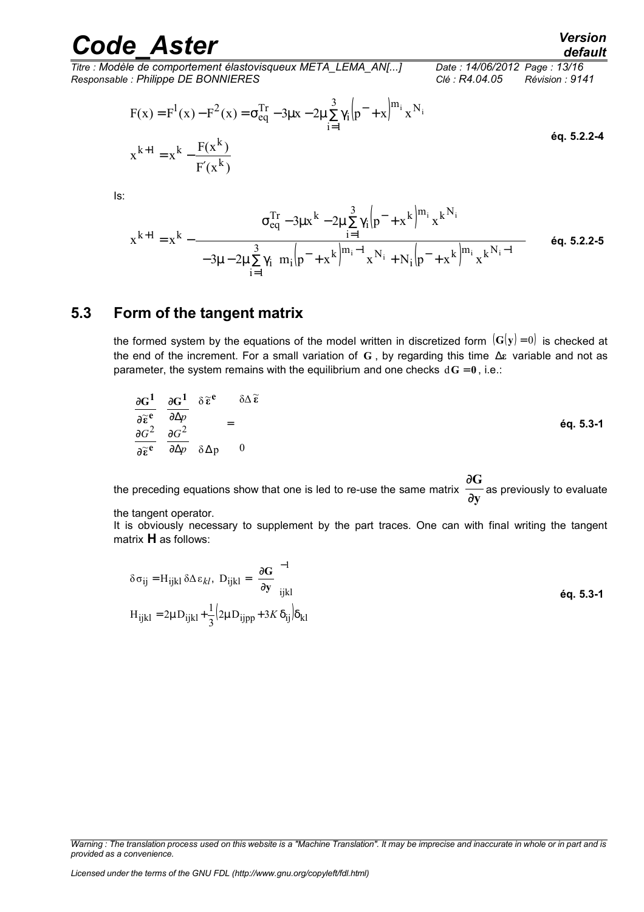*Titre : Modèle de comportement élastovisqueux META\_LEMA\_AN[...] Date : 14/06/2012 Page : 13/16 Responsable : Philippe DE BONNIERES Clé : R4.04.05 Révision : 9141*

$$
F(x) = F^{1}(x) - F^{2}(x) = \sigma_{eq}^{Tr} - 3\mu x - 2\mu \sum_{i=1}^{3} \gamma_{i} (p^{-} + x)^{m_{i}} x^{N_{i}}
$$
  
\n
$$
x^{k+1} = x^{k} - \frac{F(x^{k})}{F'(x^{k})}
$$

Is:

$$
x^{k+1} = x^{k} - \frac{\left[\sigma_{eq}^{Tr} - 3\mu x^{k} - 2\mu \sum_{i=1}^{3} \gamma_{i} \left(p^{-} + x^{k}\right)^{m_{i}} x^{k^{N_{i}}}\right]}{\left[-3\mu - 2\mu \sum_{i=1}^{3} \gamma_{i} \left[m_{i} \left(p^{-} + x^{k}\right)^{m_{i}-1} x^{N_{i}} + N_{i} \left(p^{-} + x^{k}\right)^{m_{i}} x^{k^{N_{i}}-1}\right]\right]}
$$
 6q. 5.2.2-5

### **5.3 Form of the tangent matrix**

<span id="page-12-0"></span>the formed system by the equations of the model written in discretized form  $(G(y) = 0)$  is checked at the end of the increment. For a small variation of **G** , by regarding this time ∆**ε** variable and not as parameter, the system remains with the equilibrium and one checks  $dG = 0$ , i.e.:

$$
\begin{bmatrix}\n\frac{\partial \mathbf{G}^1}{\partial \widetilde{\boldsymbol{\epsilon}}^e} & \frac{\partial \mathbf{G}^1}{\partial \Delta p} \\
\frac{\partial \mathbf{G}^2}{\partial \widetilde{\boldsymbol{\epsilon}}^e} & \frac{\partial \mathbf{G}^2}{\partial \Delta p}\n\end{bmatrix}\n\delta \widetilde{\boldsymbol{\epsilon}}^e\n\begin{bmatrix}\n\delta \Delta \widetilde{\boldsymbol{\epsilon}} \\
\delta \Delta p\n\end{bmatrix} = \begin{bmatrix}\n\delta \Delta \widetilde{\boldsymbol{\epsilon}} \\
\delta \Delta p\n\end{bmatrix}
$$
\n
$$
\dot{\boldsymbol{\epsilon}} q. 5.3-1
$$

the preceding equations show that one is led to re-use the same matrix  $\frac{\overline{\phantom{a}}}{\partial y}$ **G** ∂ ∂ $\overline{\textbf{G}}$  as previously to evaluate

the tangent operator.

It is obviously necessary to supplement by the part traces. One can with final writing the tangent matrix **H** as follows:

$$
\delta \sigma_{ij} = H_{ijkl} \delta \Delta \epsilon_{kl}, \quad D_{ijkl} = \left(\frac{\partial G}{\partial y}\right)_{ijkl}^{-1}
$$
  
\n
$$
H_{ijkl} = 2\mu D_{ijkl} + \frac{1}{3} (2\mu D_{ijpp} + 3K \delta_{ij}) \delta_{kl}
$$

*Warning : The translation process used on this website is a "Machine Translation". It may be imprecise and inaccurate in whole or in part and is provided as a convenience.*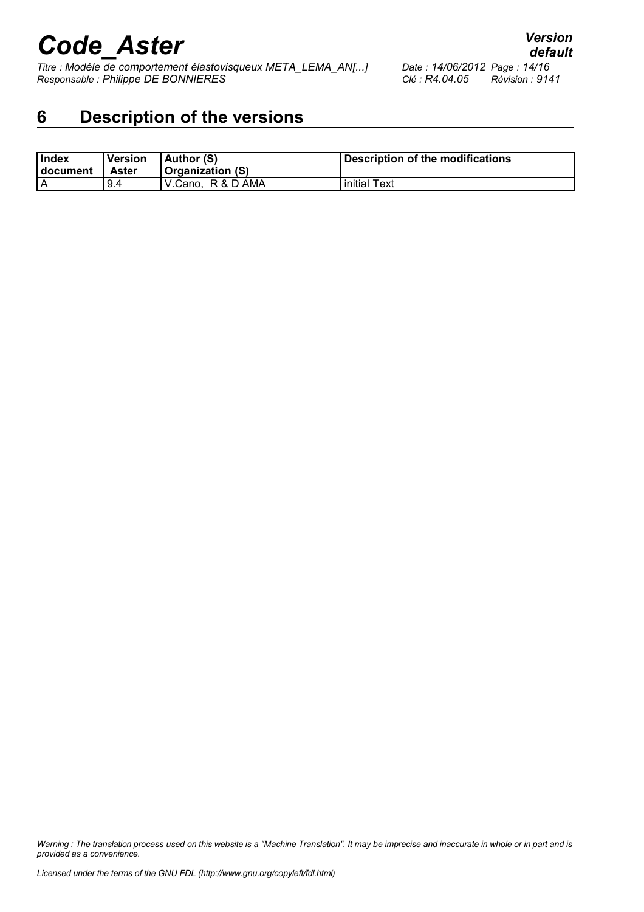*Titre : Modèle de comportement élastovisqueux META\_LEMA\_AN[...] Date : 14/06/2012 Page : 14/16 Responsable : Philippe DE BONNIERES Clé : R4.04.05 Révision : 9141*

# <span id="page-13-0"></span>**6 Description of the versions**

| <b>Index</b><br>∣ document | Version<br>Aster | $ $ Author $(S)$<br><b>Organization (S)</b> | Description of the modifications |
|----------------------------|------------------|---------------------------------------------|----------------------------------|
|                            | 9.4              | I V.Cano.  R & D AMA                        | initial Text                     |

*Warning : The translation process used on this website is a "Machine Translation". It may be imprecise and inaccurate in whole or in part and is provided as a convenience.*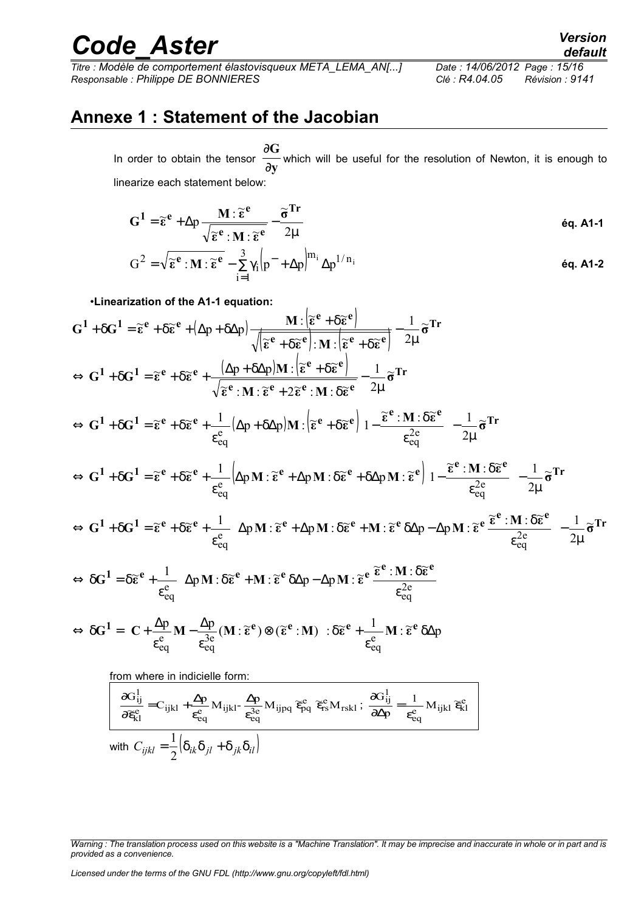*Titre : Modèle de comportement élastovisqueux META\_LEMA\_AN[...] Date : 14/06/2012 Page : 15/16 Responsable : Philippe DE BONNIERES Clé : R4.04.05 Révision : 9141*

# **Annexe 1 : Statement of the Jacobian**

In order to obtain the tensor  $\frac{\partial}{\partial y}$ **G** ∂ ∂G<br>— which will be useful for the resolution of Newton, it is enough to linearize each statement below:

$$
G^{1} = \widetilde{\epsilon}^{e} + \Delta p \frac{M : \widetilde{\epsilon}^{e}}{\sqrt{\widetilde{\epsilon}^{e}} : M : \widetilde{\epsilon}^{e}} - \frac{\widetilde{\sigma}^{Tr}}{2\mu}
$$

$$
G^{2} = \sqrt{\widetilde{\epsilon}^{e}} : M : \widetilde{\epsilon}^{e} - \sum_{i=1}^{3} \gamma_{i} \left| p^{-} + \Delta p \right|^{m_{i}} \Delta p^{1/n_{i}}
$$
éq. A1-2

•**Linearization of the A1-1 equation:**

$$
G^{1} + \delta G^{1} = \widetilde{\epsilon}^{e} + \delta \widetilde{\epsilon}^{e} + (\Delta p + \delta \Delta p) \frac{M \cdot [\widetilde{\epsilon}^{e} + \delta \widetilde{\epsilon}^{e}]}{\sqrt{[\widetilde{\epsilon}^{e} + \delta \widetilde{\epsilon}^{e}] \cdot M \cdot [\widetilde{\epsilon}^{e} + \delta \widetilde{\epsilon}^{e}]} - \frac{1}{2\mu} \widetilde{\sigma}^{Tr}
$$
  
\n
$$
\Leftrightarrow G^{1} + \delta G^{1} = \widetilde{\epsilon}^{e} + \delta \widetilde{\epsilon}^{e} + \frac{(\Delta p + \delta \Delta p)M \cdot [\widetilde{\epsilon}^{e} + \delta \widetilde{\epsilon}^{e}]}{\sqrt{\widetilde{\epsilon}^{e} \cdot M \cdot \widetilde{\epsilon}^{e} + 2\widetilde{\epsilon}^{e} \cdot M \cdot \delta \widetilde{\epsilon}^{e}} - \frac{1}{2\mu} \widetilde{\sigma}^{Tr}
$$
  
\n
$$
\Leftrightarrow G^{1} + \delta G^{1} = \widetilde{\epsilon}^{e} + \delta \widetilde{\epsilon}^{e} + \frac{1}{\epsilon_{eq}^{e}} (\Delta p + \delta \Delta p) M \cdot [\widetilde{\epsilon}^{e} + \delta \widetilde{\epsilon}^{e}] \left(1 - \frac{\widetilde{\epsilon}^{e} \cdot M \cdot \delta \widetilde{\epsilon}^{e}}{\epsilon_{eq}^{2e}}\right) - \frac{1}{2\mu} \widetilde{\sigma}^{Tr}
$$
  
\n
$$
\Leftrightarrow G^{1} + \delta G^{1} = \widetilde{\epsilon}^{e} + \delta \widetilde{\epsilon}^{e} + \frac{1}{\epsilon_{eq}^{e}} (\Delta p M \cdot \widetilde{\epsilon}^{e} + \Delta p M \cdot \delta \widetilde{\epsilon}^{e} + \delta \Delta p M \cdot \widetilde{\epsilon}^{e}) \left(1 - \frac{\widetilde{\epsilon}^{e} \cdot M \cdot \delta \widetilde{\epsilon}^{e}}{\epsilon_{eq}^{2e}}\right) - \frac{1}{2\mu} \widetilde{\sigma}^{Tr}
$$
  
\n
$$
\Leftrightarrow G^{1} + \delta G^{1} = \widetilde{\epsilon}^{e} + \delta \widetilde{\epsilon}^{e} + \frac{1}{\epsilon_{eq}^{e}} (\Delta p M \cdot \widetilde{\epsilon}^{e} + \Delta p M \cdot \delta \
$$

$$
\frac{\partial G_{ij}^1}{\partial \widetilde{\mathbf{e}}_{kl}^e} = C_{ijkl} + \frac{\Delta p}{\epsilon_{eq}^e} M_{ijkl} - \frac{\Delta p}{\epsilon_{eq}^3} M_{ijpq} \widetilde{\mathbf{e}}_{pq}^e \widetilde{\mathbf{e}}_{rs}^e M_{rskl} ; \frac{\partial G_{ij}^1}{\partial \Delta p} = \frac{1}{\epsilon_{eq}^e} M_{ijkl} \widetilde{\mathbf{e}}_{kl}^e
$$
  
with 
$$
C_{ijkl} = \frac{1}{2} \Big( \delta_{ik} \delta_{jl} + \delta_{jk} \delta_{il} \Big)
$$

*Licensed under the terms of the GNU FDL (http://www.gnu.org/copyleft/fdl.html)*

*Warning : The translation process used on this website is a "Machine Translation". It may be imprecise and inaccurate in whole or in part and is provided as a convenience.*